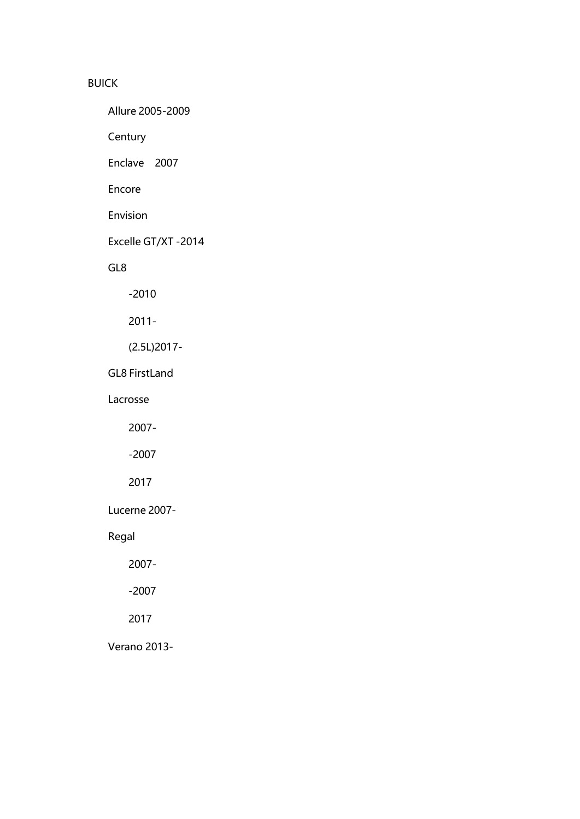# BUICK

Allure 2005-2009

Century

Enclave 2007

Encore

Envision

Excelle GT/XT -2014

GL8

-2010

2011-

(2.5L)2017-

GL8 FirstLand

Lacrosse

2007-

-2007

2017

Lucerne 2007-

Regal

2007-

-2007

2017

Verano 2013-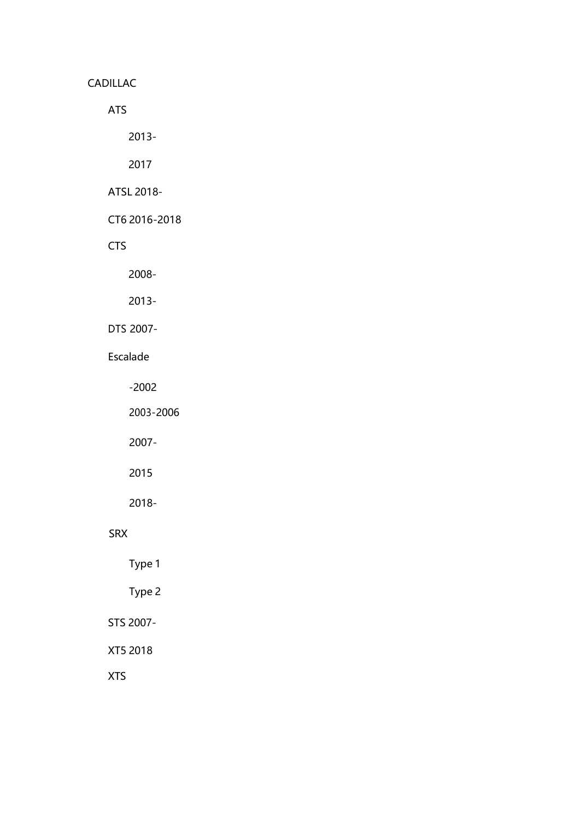CADILLAC

ATS

2013-

2017

ATSL 2018-

CT6 2016-2018

CTS

2008-

2013-

DTS 2007-

### Escalade

-2002

2003-2006

2007-

2015

2018-

# SRX

Type 1

Type 2

STS 2007-

XT5 2018

XTS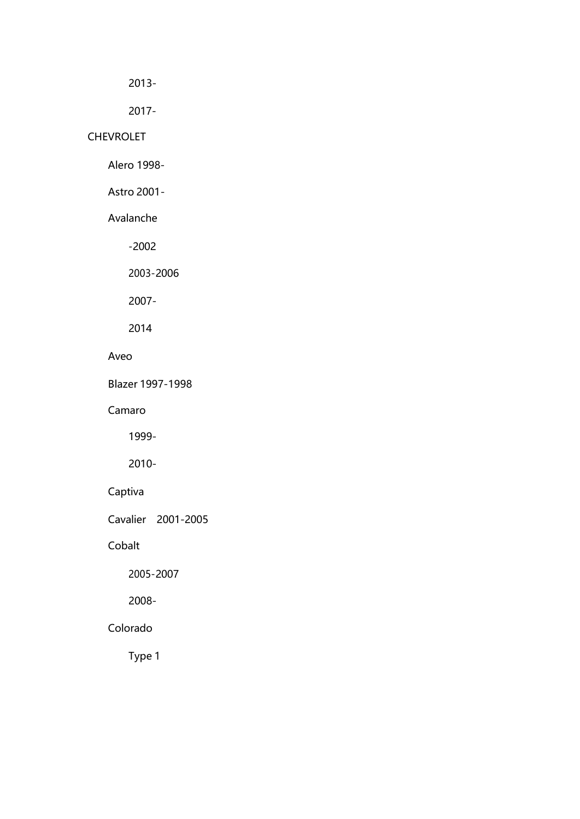2017-

### CHEVROLET

Alero 1998-

Astro 2001-

Avalanche

-2002

2003-2006

2007-

2014

Aveo

Blazer 1997-1998

Camaro

1999-

2010-

# Captiva

Cavalier 2001-2005

Cobalt

2005-2007

2008-

# Colorado

Type 1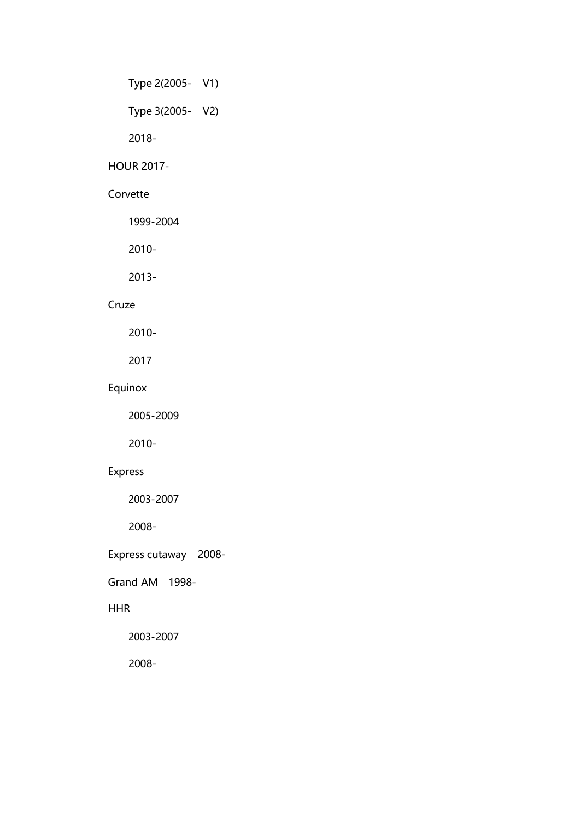Type 2(2005- V1)

Type 3(2005- V2)

2018-

### HOUR 2017-

#### Corvette

1999-2004

2010-

2013-

# Cruze

2010-

2017

# Equinox

2005-2009

2010-

# Express

2003-2007

2008-

Express cutaway 2008-

Grand AM 1998-

# HHR

2003-2007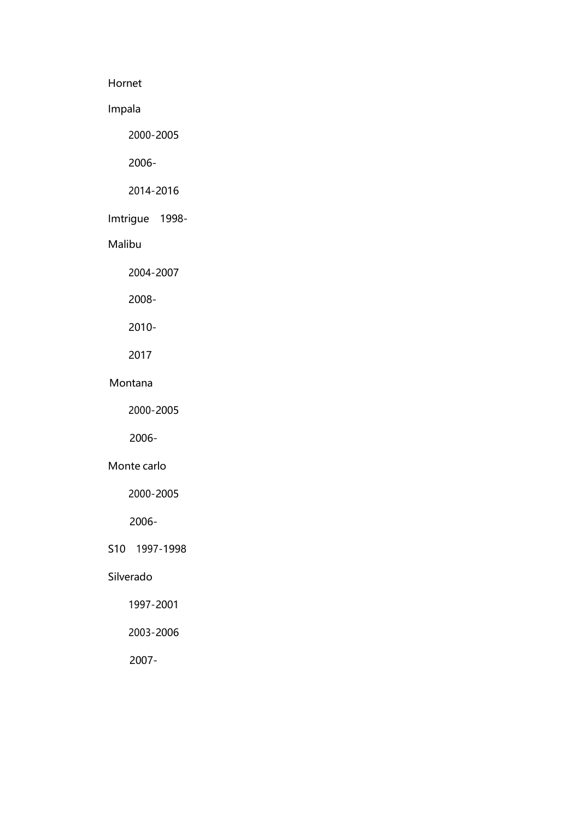Hornet

# Impala

2000-2005

# 2006-

2014-2016

# Imtrigue 1998-

## Malibu

2004-2007

#### 2008-

2010-

# 2017

### Montana

2000-2005

#### 2006-

#### Monte carlo

2000-2005

# 2006-

S10 1997-1998

#### Silverado

1997-2001

2003-2006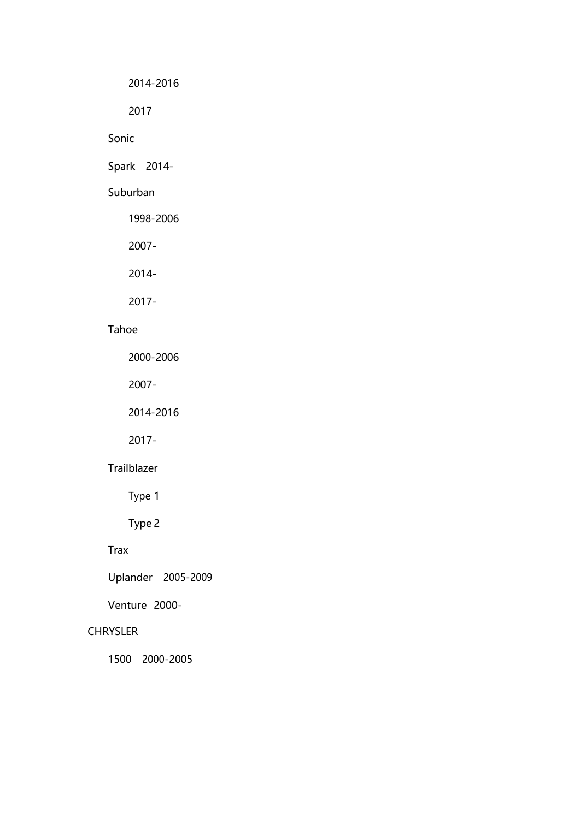2017

Sonic

Spark 2014-

### Suburban

1998-2006

2007-

2014-

2017-

### Tahoe

2000-2006

2007-

2014-2016

2017-

### Trailblazer

Type 1

Type 2

# Trax

Uplander 2005-2009

Venture 2000-

# **CHRYSLER**

1500 2000-2005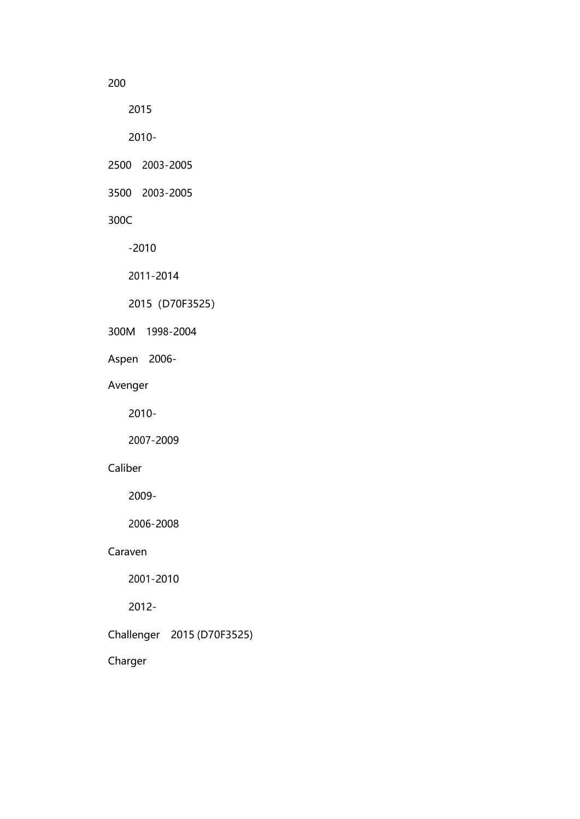200

2015

2010-

2500 2003-2005

3500 2003-2005

300C

-2010

2011-2014

2015(D70F3525)

300M 1998-2004

Aspen 2006-

Avenger

2010-

2007-2009

# Caliber

2009-

2006-2008

### Caraven

2001-2010

2012-

Challenger 2015 (D70F3525)

Charger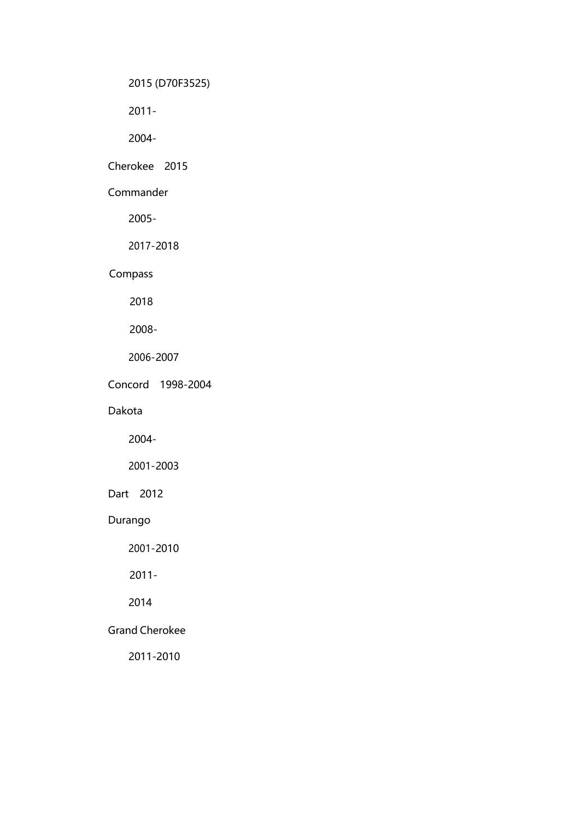2015 (D70F3525)

2011-

2004-

Cherokee 2015

#### Commander

2005-

2017-2018

# Compass

2018

2008-

2006-2007

Concord 1998-2004

#### Dakota

2004-

2001-2003

### Dart 2012

# Durango

2001-2010

2011-

2014

# Grand Cherokee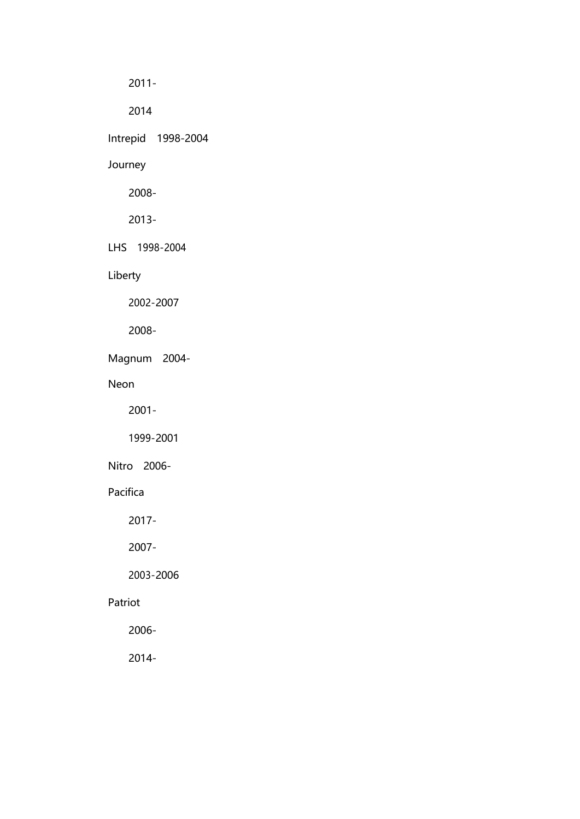2014

Intrepid 1998-2004

# Journey

2008-

2013-

LHS 1998-2004

Liberty

2002-2007

2008-

Magnum 2004-

Neon

2001-

1999-2001

Nitro 2006-

#### Pacifica

2017-

2007-

2003-2006

### Patriot

2006-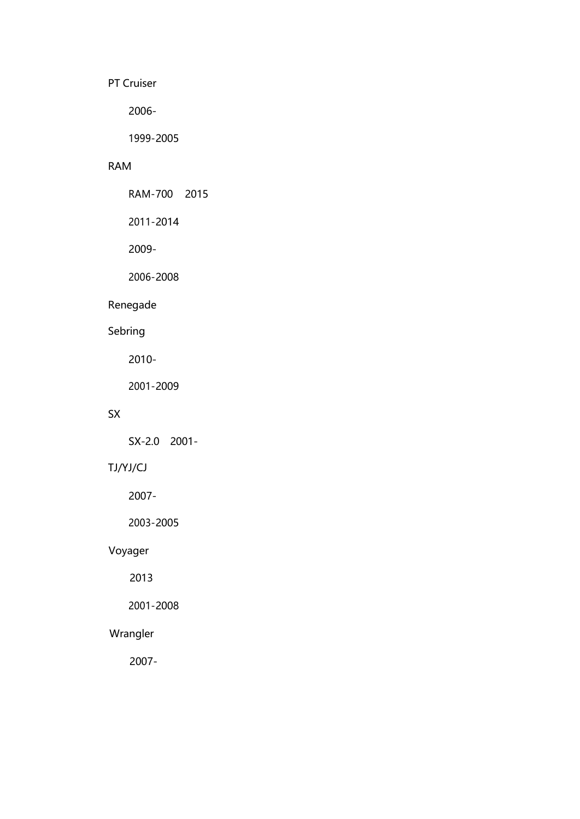PT Cruiser

2006-

1999-2005

# RAM

RAM-700 2015

2011-2014

2009-

2006-2008

# Renegade

# Sebring

2010-

2001-2009

### SX

SX-2.0 2001-

# TJ/YJ/CJ

2007-

2003-2005

# Voyager

2013

2001-2008

# Wrangler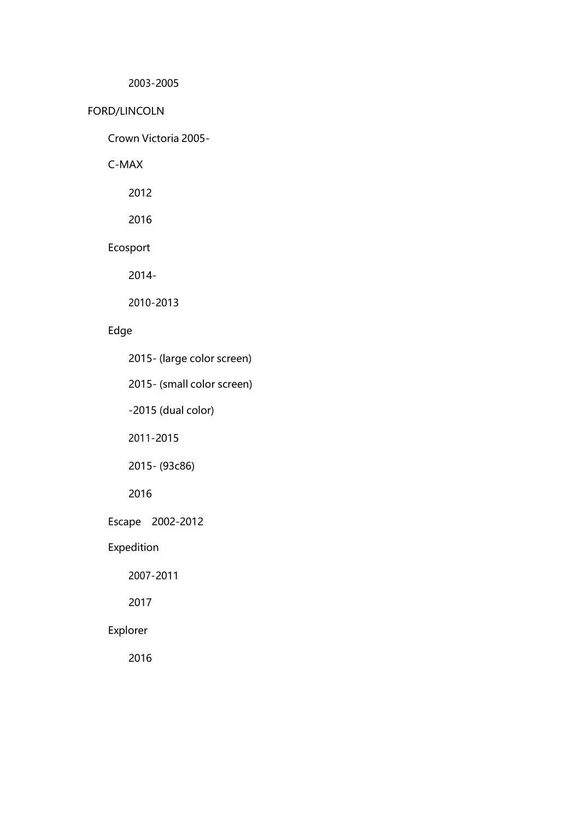# FORD/LINCOLN

Crown Victoria 2005-

C-MAX

2012

2016

Ecosport

2014-

2010-2013

# Edge

2015- (large color screen) 2015- (small color screen) -2015 (dual color) 2011-2015 2015- (93c86) 2016 Escape 2002-2012 Expedition 2007-2011 2017 Explorer

2016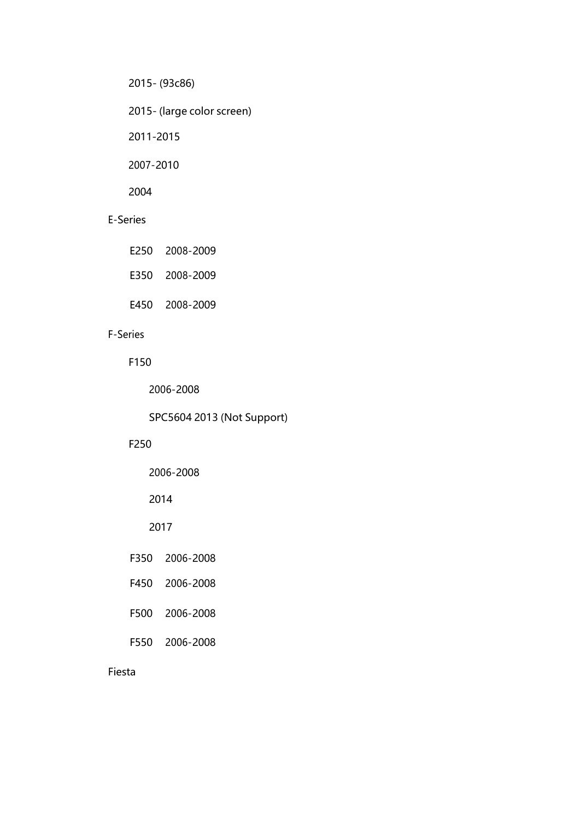2015- (93c86)

2015- (large color screen)

2011-2015

2007-2010

2004

### E-Series

| E250 2008-2009 |  |
|----------------|--|
|                |  |

E350 2008-2009

E450 2008-2009

#### F-Series

F150

2006-2008

SPC5604 2013 (Not Support)

# F250

2006-2008

2014

# 2017

F350 2006-2008

- F450 2006-2008
- F500 2006-2008
- F550 2006-2008

### Fiesta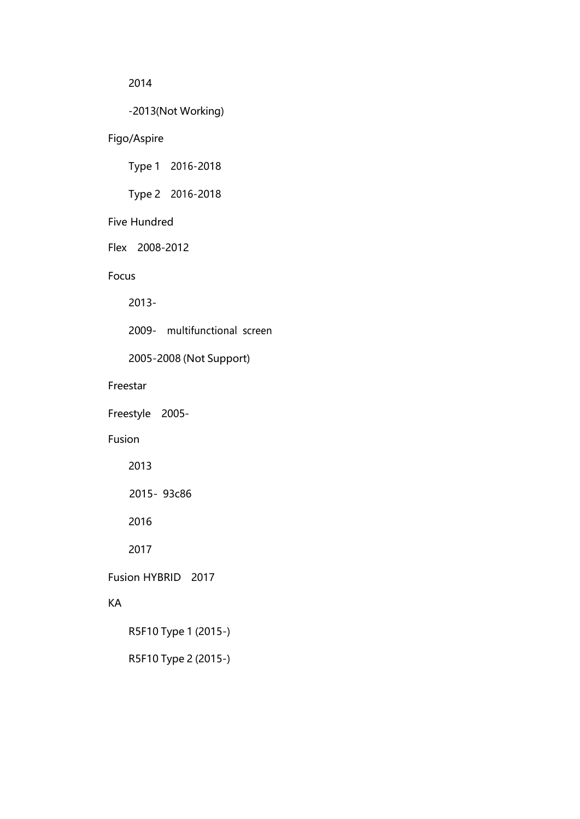# 2014

# -2013(Not Working)

# Figo/Aspire

Type 1 2016-2018

Type 2 2016-2018

# Five Hundred

Flex 2008-2012

Focus

2013-

2009- multifunctional screen

2005-2008 (Not Support)

Freestar

Freestyle 2005-

### Fusion

2013

2015- 93c86

2016

2017

Fusion HYBRID 2017

#### KA

R5F10 Type 1 (2015-)

R5F10 Type 2 (2015-)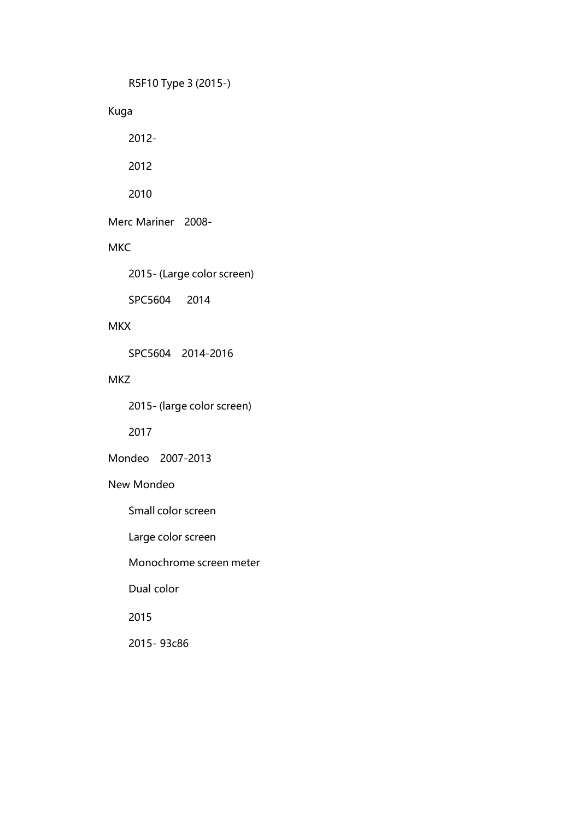R5F10 Type 3 (2015-)

# Kuga

2012-

2012

2010

Merc Mariner 2008-

# **MKC**

2015- (Large color screen)

SPC5604 2014

### **MKX**

SPC5604 2014-2016

# MKZ

2015- (large color screen)

2017

Mondeo 2007-2013

### New Mondeo

Small color screen

Large color screen

Monochrome screen meter

Dual color

2015

2015- 93c86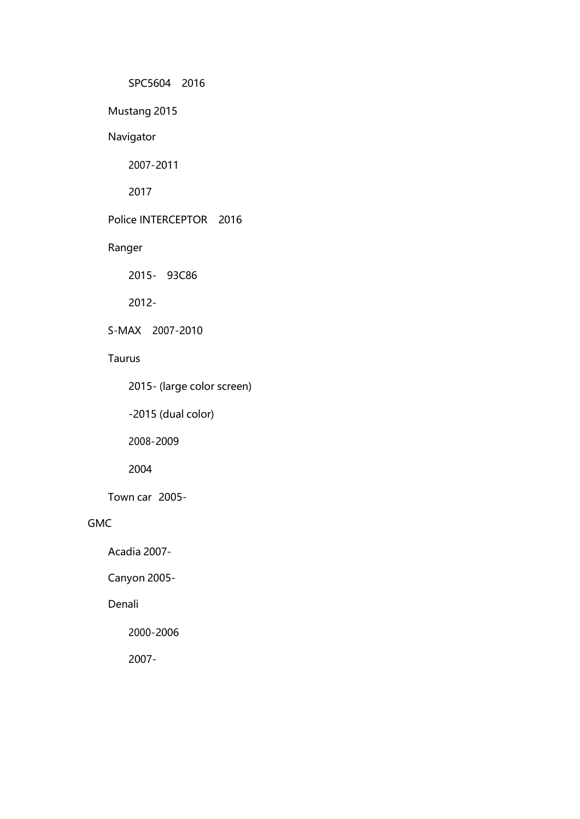SPC5604 2016

Mustang 2015

Navigator

2007-2011

2017

Police INTERCEPTOR 2016

Ranger

2015- 93C86

2012-

S-MAX 2007-2010

Taurus

2015- (large color screen)

-2015 (dual color)

2008-2009

2004

Town car 2005-

# GMC

Acadia 2007-

Canyon 2005-

Denali

2000-2006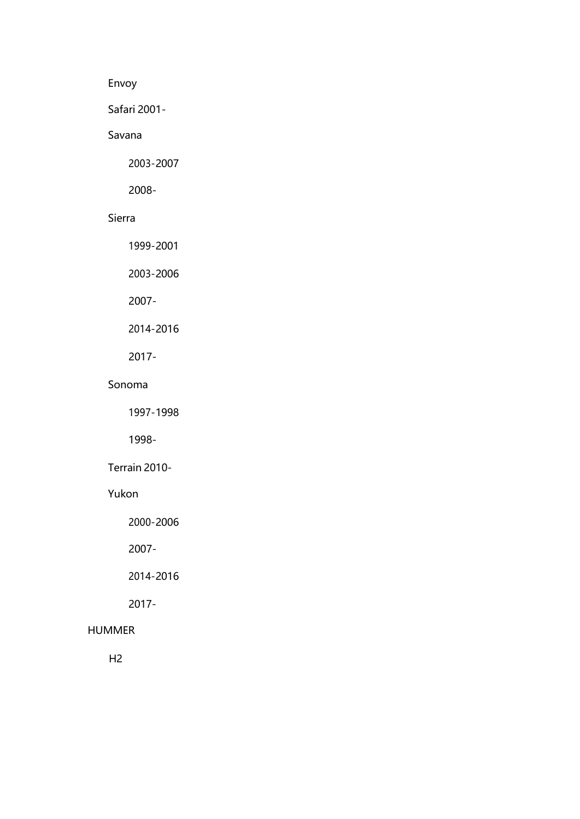# Envoy

# Safari 2001-

### Savana

2003-2007

# 2008-

### Sierra

1999-2001

2003-2006

### 2007-

2014-2016

#### 2017-

### Sonoma

1997-1998

#### 1998-

# Terrain 2010-

#### Yukon

2000-2006

2007-

2014-2016

2017-

# HUMMER

 $H<sub>2</sub>$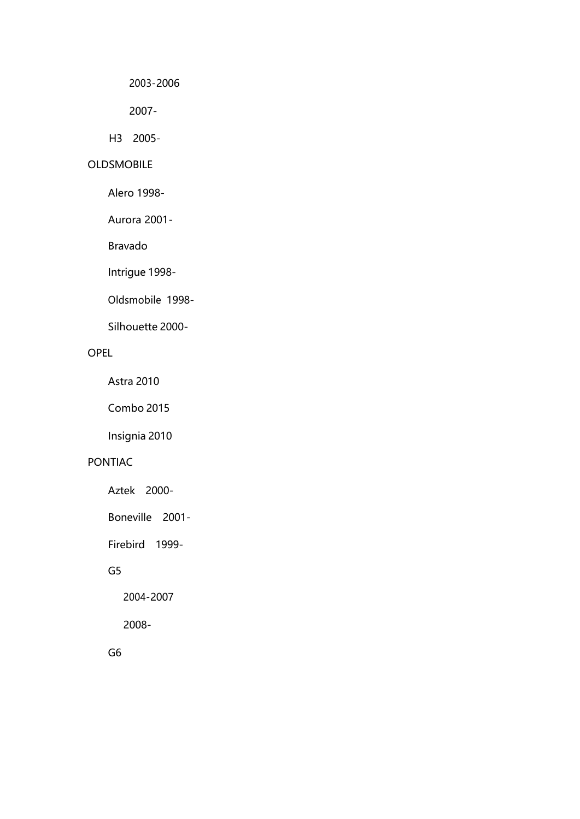2007-

H3 2005-

# OLDSMOBILE

Alero 1998-

Aurora 2001-

Bravado

Intrigue 1998-

Oldsmobile 1998-

Silhouette 2000-

# OPEL

Astra 2010

Combo 2015

Insignia 2010

### PONTIAC

Aztek 2000-

Boneville 2001-

Firebird 1999-

# G5

2004-2007

2008-

G6